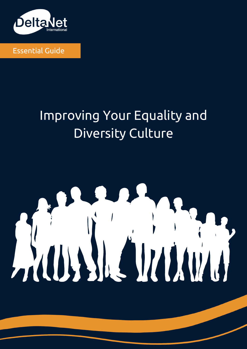

Essential Guide

## Improving Your Equality and Diversity Culture

#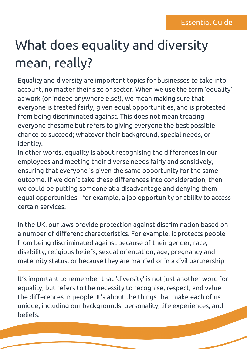# What does equality and diversity mean, really?

Equality and diversity are important topics for businesses to take into account, no matter their size or sector. When we use the term 'equality' at work (or indeed anywhere else!), we mean making sure that everyone is treated fairly, given equal opportunities, and is protected from being discriminated against. This does not mean treating everyone thesame but refers to giving everyone the best possible chance to succeed; whatever their background, special needs, or identity.

In other words, equality is about recognising the differences in our employees and meeting their diverse needs fairly and sensitively, ensuring that everyone is given the same opportunity for the same outcome. If we don't take these differences into consideration, then we could be putting someone at a disadvantage and denying them equal opportunities - for example, a job opportunity or ability to access certain services.

In the UK, our laws provide protection against discrimination based on a number of different characteristics. For example, it protects people from being discriminated against because of their gender, race, disability, religious beliefs, sexual orientation, age, pregnancy and maternity status, or because they are married or in a civil partnership

It's important to remember that 'diversity' is not just another word for equality, but refers to the necessity to recognise, respect, and value the differences in people. It's about the things that make each of us unique, including our backgrounds, personality, life experiences, and beliefs.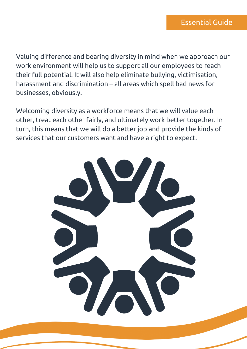Valuing difference and bearing diversity in mind when we approach our work environment will help us to support all our employees to reach their full potential. It will also help eliminate bullying, victimisation, harassment and discrimination – all areas which spell bad news for businesses, obviously.

Welcoming diversity as a workforce means that we will value each other, treat each other fairly, and ultimately work better together. In turn, this means that we will do a better job and provide the kinds of services that our customers want and have a right to expect.

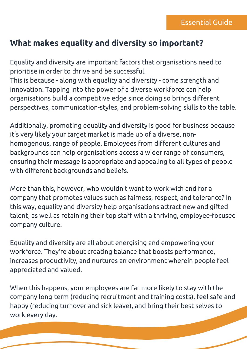#### **What makes equality and diversity so important?**

Equality and diversity are important factors that organisations need to prioritise in order to thrive and be successful.

This is because - along with equality and diversity - come strength and innovation. Tapping into the power of a diverse workforce can help organisations build a competitive edge since doing so brings different perspectives, communication-styles, and problem-solving skills to the table.

Additionally, promoting equality and diversity is good for business because it's very likely your target market is made up of a diverse, nonhomogenous, range of people. Employees from different cultures and backgrounds can help organisations access a wider range of consumers, ensuring their message is appropriate and appealing to all types of people with different backgrounds and beliefs.

More than this, however, who wouldn't want to work with and for a company that promotes values such as fairness, respect, and tolerance? In this way, equality and diversity help organisations attract new and gifted talent, as well as retaining their top staff with a thriving, employee-focused company culture.

Equality and diversity are all about energising and empowering your workforce. They're about creating balance that boosts performance, increases productivity, and nurtures an environment wherein people feel appreciated and valued.

When this happens, your employees are far more likely to stay with the company long-term (reducing recruitment and training costs), feel safe and happy (reducing turnover and sick leave), and bring their best selves to work every day.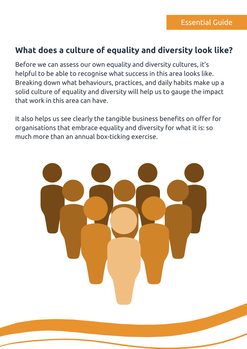#### **What does a culture of equality and diversity look like?**

Before we can assess our own equality and diversity cultures, it's helpful to be able to recognise what success in this area looks like. Breaking down what behaviours, practices, and daily habits make up a solid culture of equality and diversity will help us to gauge the impact that work in this area can have.

It also helps us see clearly the tangible business benefits on offer for organisations that embrace equality and diversity for what it is: so much more than an annual box-ticking exercise.

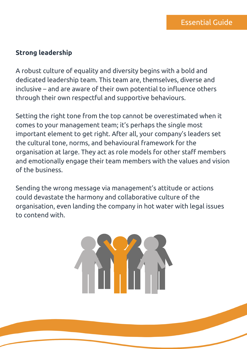#### **Strong leadership**

A robust culture of equality and diversity begins with a bold and dedicated leadership team. This team are, themselves, diverse and inclusive – and are aware of their own potential to influence others through their own respectful and supportive behaviours.

Setting the right tone from the top cannot be overestimated when it comes to your management team; it's perhaps the single most important element to get right. After all, your company's leaders set the cultural tone, norms, and behavioural framework for the organisation at large. They act as role models for other staff members and emotionally engage their team members with the values and vision of the business.

Sending the wrong message via management's attitude or actions could devastate the harmony and collaborative culture of the organisation, even landing the company in hot water with legal issues to contend with.

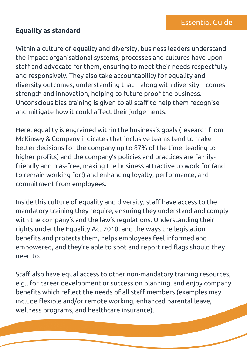#### **Equality as standard**

Within a culture of equality and diversity, business leaders understand the impact organisational systems, processes and cultures have upon staff and advocate for them, ensuring to meet their needs respectfully and responsively. They also take accountability for equality and diversity outcomes, understanding that – along with diversity – comes strength and innovation, helping to future proof the business. Unconscious bias training is given to all staff to help them recognise and mitigate how it could affect their judgements.

Here, equality is engrained within the business's goals ([research](https://www.forbes.com/sites/eriklarson/2017/09/21/new-research-diversity-inclusion-better-decision-making-at-work/?sh=4a5cc7234cbf) from McKinsey & Company indicates that inclusive teams tend to make better decisions for the company up to 87% of the time, leading to higher profits) and the company's policies and practices are familyfriendly and bias-free, making the business attractive to work for (and to remain working for!) and enhancing loyalty, performance, and commitment from employees.

Inside this culture of equality and diversity, staff have access to the mandatory training they require, ensuring they understand and comply with the company's and the law's regulations. Understanding their rights under the Equality Act 2010, and the ways the legislation benefits and protects them, helps employees feel informed and empowered, and they're able to spot and report red flags should they need to.

Staff also have equal access to other non-mandatory training resources, e.g., for career development or succession planning, and enjoy company benefits which reflect the needs of all staff members (examples may include flexible and/or remote working, enhanced parental leave, wellness programs, and healthcare insurance).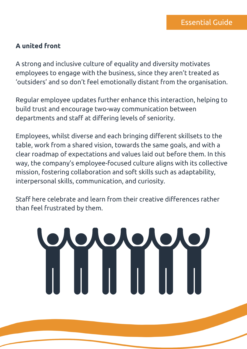#### **A united front**

A strong and inclusive culture of equality and diversity motivates employees to engage with the business, since they aren't treated as 'outsiders' and so don't feel emotionally distant from the organisation.

Regular employee updates further enhance this interaction, helping to build trust and encourage two-way communication between departments and staff at differing levels of seniority.

Employees, whilst diverse and each bringing different skillsets to the table, work from a shared vision, towards the same goals, and with a clear roadmap of expectations and values laid out before them. In this way, the company's employee-focused culture aligns with its collective mission, fostering collaboration and soft skills such as adaptability, interpersonal skills, communication, and curiosity.

Staff here celebrate and learn from their creative differences rather than feel frustrated by them.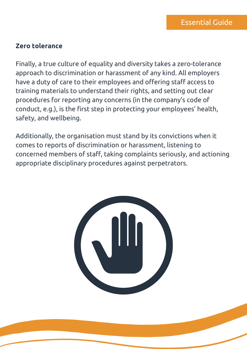#### **Zero tolerance**

Finally, a true culture of equality and diversity takes a zero-tolerance approach to discrimination or harassment of any kind. All employers have a duty of care to their employees and offering staff access to training materials to understand their rights, and setting out clear procedures for reporting any concerns (in the company's code of conduct, e.g.), is the first step in protecting your employees' health, safety, and wellbeing.

Additionally, the organisation must stand by its convictions when it comes to reports of discrimination or harassment, listening to concerned members of staff, taking complaints seriously, and actioning appropriate disciplinary procedures against perpetrators.

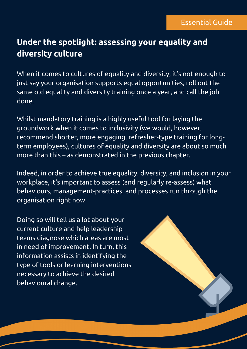### **Under the spotlight: assessing your equality and diversity culture**

When it comes to cultures of equality and diversity, it's not enough to just say your organisation supports equal opportunities, roll out the same old equality and diversity training once a year, and call the job done.

Whilst mandatory training is a highly useful tool for laying the groundwork when it comes to inclusivity (we would, however, recommend shorter, more engaging, refresher-type training for longterm employees), cultures of equality and diversity are about so much more than this – as demonstrated in the previous chapter.

Indeed, in order to achieve true equality, diversity, and inclusion in your workplace, it's important to assess (and regularly re-assess) what behaviours, management-practices, and processes run through the organisation right now.

Doing so will tell us a lot about your current culture and help leadership teams diagnose which areas are most in need of improvement. In turn, this information assists in identifying the type of tools or learning interventions necessary to achieve the desired behavioural change.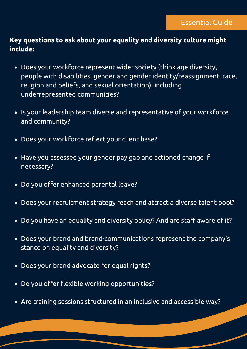#### **Key questions to ask about your equality and diversity culture might include:**

- Does your workforce represent wider society (think age diversity, people with disabilities, gender and gender identity/reassignment, race, religion and beliefs, and sexual orientation), including underrepresented communities?
- Is your leadership team diverse and representative of your workforce and community?
- Does your workforce reflect your client base?  $\bullet$
- Have you assessed your gender pay gap and actioned change if necessary?
- Do you offer enhanced parental leave?
- Does your recruitment strategy reach and attract a diverse talent pool?
- Do you have an equality and diversity policy? And are staff aware of it?  $\bullet$
- Does your brand and brand-communications represent the company's stance on equality and diversity?
- Does your brand advocate for equal rights?  $\bullet$
- Do you offer flexible working opportunities?
- Are training sessions structured in an inclusive and accessible way?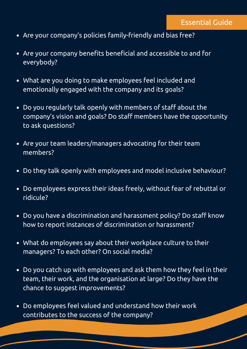- Are your company's policies family-friendly and bias free?
- Are your company benefits beneficial and accessible to and for everybody?
- What are you doing to make employees feel included and emotionally engaged with the company and its goals?
- Do you regularly talk openly with members of staff about the company's vision and goals? Do staff members have the opportunity to ask questions?
- Are your team leaders/managers advocating for their team members?
- Do they talk openly with employees and model inclusive behaviour?
- Do employees express their ideas freely, without fear of rebuttal or ridicule?
- Do you have a discrimination and harassment policy? Do staff know how to report instances of discrimination or harassment?
- What do employees say about their workplace culture to their managers? To each other? On social media?
- Do you catch up with employees and ask them how they feel in their team, their work, and the organisation at large? Do they have the chance to suggest improvements?
- Do employees feel valued and understand how their work contributes to the success of the company?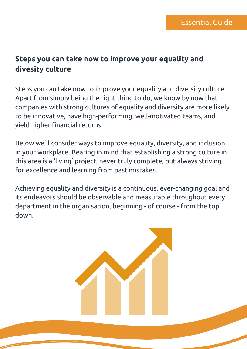#### **Steps you can take now to improve your equality and divesity culture**

Steps you can take now to improve your equality and diversity culture Apart from simply being the right thing to do, we know by now that companies with strong cultures of equality and diversity are more likely to be innovative, have high-performing, well-motivated teams, and yield higher financial returns.

Below we'll consider ways to improve equality, diversity, and inclusion in your workplace. Bearing in mind that establishing a strong culture in this area is a 'living' project, never truly complete, but always striving for excellence and learning from past mistakes.

Achieving equality and diversity is a continuous, ever-changing goal and its endeavors should be observable and measurable throughout every department in the organisation, beginning - of course - from the top down.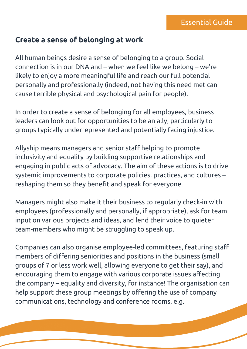#### **Create a sense of belonging at work**

All human beings desire a sense of belonging to a group. Social connection is in our DNA and – when we feel like we belong – we're likely to enjoy a more meaningful life and reach our full potential personally and professionally (indeed, not having this need met can cause terrible physical and psychological pain for people).

In order to create a sense of belonging for all employees, business leaders can look out for opportunities to be an ally, particularly to groups typically underrepresented and potentially facing injustice.

Allyship means managers and senior staff helping to promote inclusivity and equality by building supportive relationships and engaging in public acts of advocacy. The aim of these actions is to drive systemic improvements to corporate policies, practices, and cultures – reshaping them so they benefit and speak for everyone.

Managers might also make it their business to regularly check-in with employees (professionally and personally, if appropriate), ask for team input on various projects and ideas, and lend their voice to quieter team-members who might be struggling to speak up.

Companies can also organise employee-led committees, featuring staff members of differing seniorities and positions in the business (small groups of 7 or less work well, allowing everyone to get their say), and encouraging them to engage with various corporate issues affecting the company – equality and diversity, for instance! The organisation can help support these group meetings by offering the use of company communications, technology and conference rooms, e.g.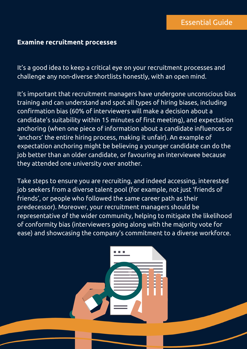#### **Examine recruitment processes**

It's a good idea to keep a critical eye on your recruitment processes and challenge any non-diverse shortlists honestly, with an open mind.

It's important that recruitment managers have undergone unconscious bias training and can understand and spot all types of hiring biases, including confirmation bias (60% of interviewers will make a decision about a candidate's suitability within 15 minutes of first meeting), and expectation anchoring (when one piece of information about a candidate influences or 'anchors' the entire hiring process, making it unfair). An example of expectation anchoring might be believing a younger candidate can do the job better than an older candidate, or favouring an interviewee because they attended one university over another.

Take steps to ensure you are recruiting, and indeed accessing, interested job seekers from a diverse talent pool (for example, not just 'friends of friends', or people who followed the same career path as their predecessor). Moreover, your recruitment managers should be representative of the wider community, helping to mitigate the likelihood of conformity bias (interviewers going along with the majority vote for ease) and showcasing the company's commitment to a diverse workforce.

. . .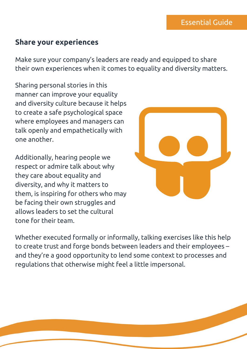#### **Share your experiences**

Make sure your company's leaders are ready and equipped to share their own experiences when it comes to equality and diversity matters.

Sharing personal stories in this manner can improve your equality and diversity culture because it helps to create a safe psychological space where employees and managers can talk openly and empathetically with one another.

Additionally, hearing people we respect or admire talk about why they care about equality and diversity, and why it matters to them, is inspiring for others who may be facing their own struggles and allows leaders to set the cultural tone for their team.



Whether executed formally or informally, talking exercises like this help to create trust and forge bonds between leaders and their employees – and they're a good opportunity to lend some context to processes and regulations that otherwise might feel a little impersonal.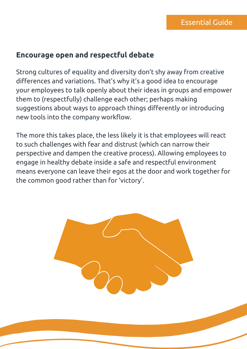#### **Encourage open and respectful debate**

Strong cultures of equality and diversity don't shy away from creative differences and variations. That's why it's a good idea to encourage your employees to talk openly about their ideas in groups and empower them to (respectfully) challenge each other; perhaps making suggestions about ways to approach things differently or introducing new tools into the company workflow.

The more this takes place, the less likely it is that employees will react to such challenges with fear and distrust (which can narrow their perspective and dampen the creative process). Allowing employees to engage in healthy debate inside a safe and respectful environment means everyone can leave their egos at the door and work together for the common good rather than for 'victory'.

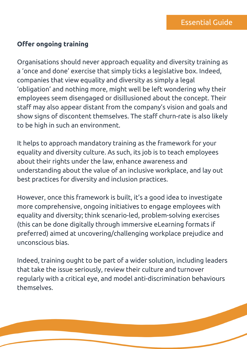#### **Offer ongoing training**

Organisations should never approach equality and diversity training as a 'once and done' exercise that simply ticks a legislative box. Indeed, companies that view equality and diversity as simply a legal 'obligation' and nothing more, might well be left wondering why their employees seem disengaged or disillusioned about the concept. Their staff may also appear distant from the company's vision and goals and show signs of discontent themselves. The staff churn-rate is also likely to be high in such an environment.

It helps to approach mandatory training as the framework for your equality and diversity culture. As such, its job is to teach employees about their rights under the law, enhance awareness and understanding about the value of an inclusive workplace, and lay out best practices for diversity and inclusion practices.

However, once this framework is built, it's a good idea to investigate more comprehensive, ongoing initiatives to engage employees with equality and diversity; think scenario-led, problem-solving exercises (this can be done digitally through immersive eLearning formats if preferred) aimed at uncovering/challenging workplace prejudice and unconscious bias.

Indeed, training ought to be part of a wider solution, including leaders that take the issue seriously, review their culture and turnover regularly with a critical eye, and model anti-discrimination behaviours themselves.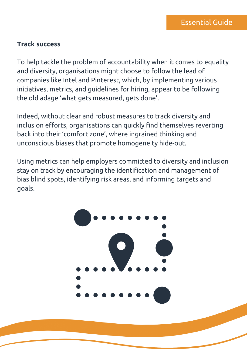#### **Track success**

To help tackle the problem of accountability when it comes to equality and diversity, organisations might choose to follow the lead of companies like [Intel](https://www.intel.com/content/www/us/en/diversity/diversity-at-intel.html) and [Pinterest,](https://www.cio.com/article/2972952/how-pinterest-is-taking-on-its-diversity-dilemma.html) which, by implementing various initiatives, metrics, and guidelines for hiring, appear to be following the old adage 'what gets measured, gets done'.

Indeed, without clear and robust measures to track diversity and inclusion efforts, organisations can quickly find themselves reverting back into their 'comfort zone', where ingrained thinking and unconscious biases that promote homogeneity hide-out.

Using metrics can help employers committed to diversity and inclusion stay on track by encouraging the identification and management of bias blind spots, identifying risk areas, and informing targets and goals.